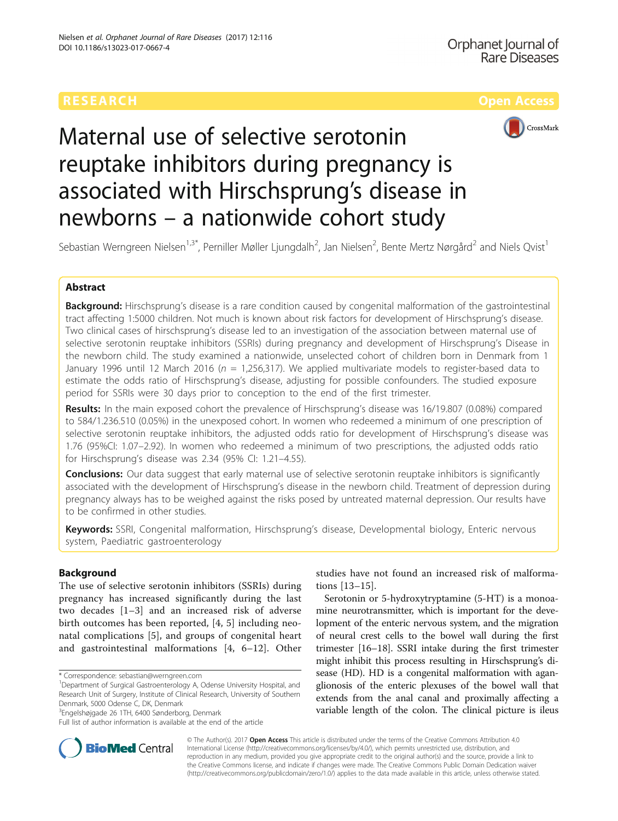

# Maternal use of selective serotonin reuptake inhibitors during pregnancy is associated with Hirschsprung's disease in newborns – a nationwide cohort study

Sebastian Werngreen Nielsen $^{1,3^\ast}$ , Perniller Møller Ljungdalh $^2$ , Jan Nielsen $^2$ , Bente Mertz Nørgård $^2$  and Niels Qvist $^1$ 

# Abstract

Background: Hirschsprung's disease is a rare condition caused by congenital malformation of the gastrointestinal tract affecting 1:5000 children. Not much is known about risk factors for development of Hirschsprung's disease. Two clinical cases of hirschsprung's disease led to an investigation of the association between maternal use of selective serotonin reuptake inhibitors (SSRIs) during pregnancy and development of Hirschsprung's Disease in the newborn child. The study examined a nationwide, unselected cohort of children born in Denmark from 1 January 1996 until 12 March 2016 ( $n = 1,256,317$ ). We applied multivariate models to register-based data to estimate the odds ratio of Hirschsprung's disease, adjusting for possible confounders. The studied exposure period for SSRIs were 30 days prior to conception to the end of the first trimester.

Results: In the main exposed cohort the prevalence of Hirschsprung's disease was 16/19.807 (0.08%) compared to 584/1.236.510 (0.05%) in the unexposed cohort. In women who redeemed a minimum of one prescription of selective serotonin reuptake inhibitors, the adjusted odds ratio for development of Hirschsprung's disease was 1.76 (95%CI: 1.07–2.92). In women who redeemed a minimum of two prescriptions, the adjusted odds ratio for Hirschsprung's disease was 2.34 (95% CI: 1.21–4.55).

**Conclusions:** Our data suggest that early maternal use of selective serotonin reuptake inhibitors is significantly associated with the development of Hirschsprung's disease in the newborn child. Treatment of depression during pregnancy always has to be weighed against the risks posed by untreated maternal depression. Our results have to be confirmed in other studies.

Keywords: SSRI, Congenital malformation, Hirschsprung's disease, Developmental biology, Enteric nervous system, Paediatric gastroenterology

# Background

The use of selective serotonin inhibitors (SSRIs) during pregnancy has increased significantly during the last two decades [[1](#page-5-0)–[3](#page-5-0)] and an increased risk of adverse birth outcomes has been reported, [[4, 5](#page-5-0)] including neonatal complications [[5\]](#page-5-0), and groups of congenital heart and gastrointestinal malformations [\[4](#page-5-0), [6](#page-5-0)–[12\]](#page-6-0). Other

<sup>3</sup>Engelshøjgade 26 1TH, 6400 Sønderborg, Denmark

studies have not found an increased risk of malformations [\[13](#page-6-0)–[15](#page-6-0)].

Serotonin or 5-hydroxytryptamine (5-HT) is a monoamine neurotransmitter, which is important for the development of the enteric nervous system, and the migration of neural crest cells to the bowel wall during the first trimester [\[16](#page-6-0)–[18](#page-6-0)]. SSRI intake during the first trimester might inhibit this process resulting in Hirschsprung's disease (HD). HD is a congenital malformation with aganglionosis of the enteric plexuses of the bowel wall that extends from the anal canal and proximally affecting a variable length of the colon. The clinical picture is ileus



© The Author(s). 2017 Open Access This article is distributed under the terms of the Creative Commons Attribution 4.0 International License [\(http://creativecommons.org/licenses/by/4.0/](http://creativecommons.org/licenses/by/4.0/)), which permits unrestricted use, distribution, and reproduction in any medium, provided you give appropriate credit to the original author(s) and the source, provide a link to the Creative Commons license, and indicate if changes were made. The Creative Commons Public Domain Dedication waiver [\(http://creativecommons.org/publicdomain/zero/1.0/](http://creativecommons.org/publicdomain/zero/1.0/)) applies to the data made available in this article, unless otherwise stated.

<sup>\*</sup> Correspondence: [sebastian@werngreen.com](mailto:sebastian@werngreen.com) <sup>1</sup>

<sup>&</sup>lt;sup>1</sup>Department of Surgical Gastroenterology A, Odense University Hospital, and Research Unit of Surgery, Institute of Clinical Research, University of Southern Denmark, 5000 Odense C, DK, Denmark

Full list of author information is available at the end of the article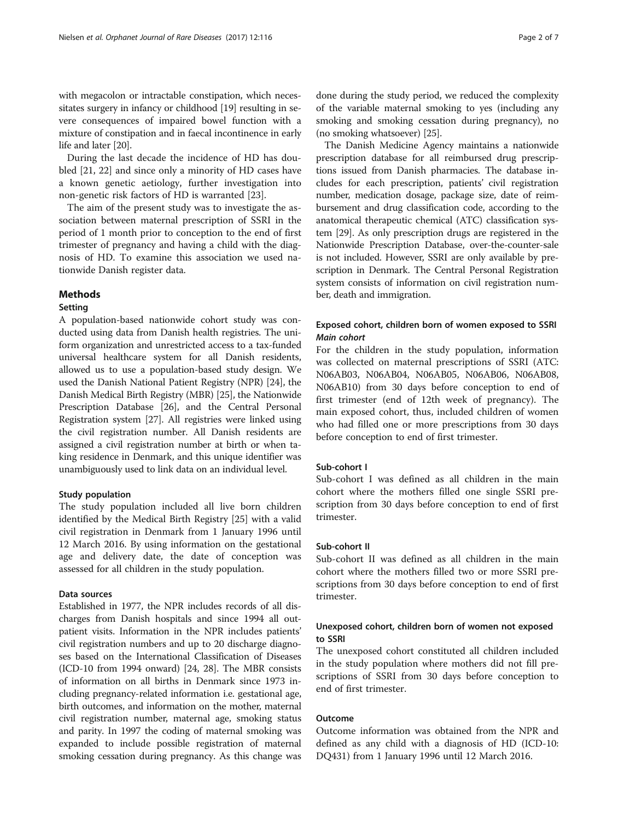with megacolon or intractable constipation, which necessitates surgery in infancy or childhood [\[19](#page-6-0)] resulting in severe consequences of impaired bowel function with a mixture of constipation and in faecal incontinence in early life and later [\[20\]](#page-6-0).

During the last decade the incidence of HD has doubled [\[21](#page-6-0), [22](#page-6-0)] and since only a minority of HD cases have a known genetic aetiology, further investigation into non-genetic risk factors of HD is warranted [[23](#page-6-0)].

The aim of the present study was to investigate the association between maternal prescription of SSRI in the period of 1 month prior to conception to the end of first trimester of pregnancy and having a child with the diagnosis of HD. To examine this association we used nationwide Danish register data.

# Methods

# Setting

A population-based nationwide cohort study was conducted using data from Danish health registries. The uniform organization and unrestricted access to a tax-funded universal healthcare system for all Danish residents, allowed us to use a population-based study design. We used the Danish National Patient Registry (NPR) [\[24\]](#page-6-0), the Danish Medical Birth Registry (MBR) [[25](#page-6-0)], the Nationwide Prescription Database [[26](#page-6-0)], and the Central Personal Registration system [\[27\]](#page-6-0). All registries were linked using the civil registration number. All Danish residents are assigned a civil registration number at birth or when taking residence in Denmark, and this unique identifier was unambiguously used to link data on an individual level.

# Study population

The study population included all live born children identified by the Medical Birth Registry [\[25](#page-6-0)] with a valid civil registration in Denmark from 1 January 1996 until 12 March 2016. By using information on the gestational age and delivery date, the date of conception was assessed for all children in the study population.

# Data sources

Established in 1977, the NPR includes records of all discharges from Danish hospitals and since 1994 all outpatient visits. Information in the NPR includes patients' civil registration numbers and up to 20 discharge diagnoses based on the International Classification of Diseases (ICD-10 from 1994 onward) [\[24](#page-6-0), [28\]](#page-6-0). The MBR consists of information on all births in Denmark since 1973 including pregnancy-related information i.e. gestational age, birth outcomes, and information on the mother, maternal civil registration number, maternal age, smoking status and parity. In 1997 the coding of maternal smoking was expanded to include possible registration of maternal smoking cessation during pregnancy. As this change was done during the study period, we reduced the complexity of the variable maternal smoking to yes (including any smoking and smoking cessation during pregnancy), no (no smoking whatsoever) [\[25\]](#page-6-0).

The Danish Medicine Agency maintains a nationwide prescription database for all reimbursed drug prescriptions issued from Danish pharmacies. The database includes for each prescription, patients' civil registration number, medication dosage, package size, date of reimbursement and drug classification code, according to the anatomical therapeutic chemical (ATC) classification system [[29](#page-6-0)]. As only prescription drugs are registered in the Nationwide Prescription Database, over-the-counter-sale is not included. However, SSRI are only available by prescription in Denmark. The Central Personal Registration system consists of information on civil registration number, death and immigration.

# Exposed cohort, children born of women exposed to SSRI Main cohort

For the children in the study population, information was collected on maternal prescriptions of SSRI (ATC: N06AB03, N06AB04, N06AB05, N06AB06, N06AB08, N06AB10) from 30 days before conception to end of first trimester (end of 12th week of pregnancy). The main exposed cohort, thus, included children of women who had filled one or more prescriptions from 30 days before conception to end of first trimester.

# Sub-cohort I

Sub-cohort I was defined as all children in the main cohort where the mothers filled one single SSRI prescription from 30 days before conception to end of first trimester.

# Sub-cohort II

Sub-cohort II was defined as all children in the main cohort where the mothers filled two or more SSRI prescriptions from 30 days before conception to end of first trimester.

# Unexposed cohort, children born of women not exposed to SSRI

The unexposed cohort constituted all children included in the study population where mothers did not fill prescriptions of SSRI from 30 days before conception to end of first trimester.

# Outcome

Outcome information was obtained from the NPR and defined as any child with a diagnosis of HD (ICD-10: DQ431) from 1 January 1996 until 12 March 2016.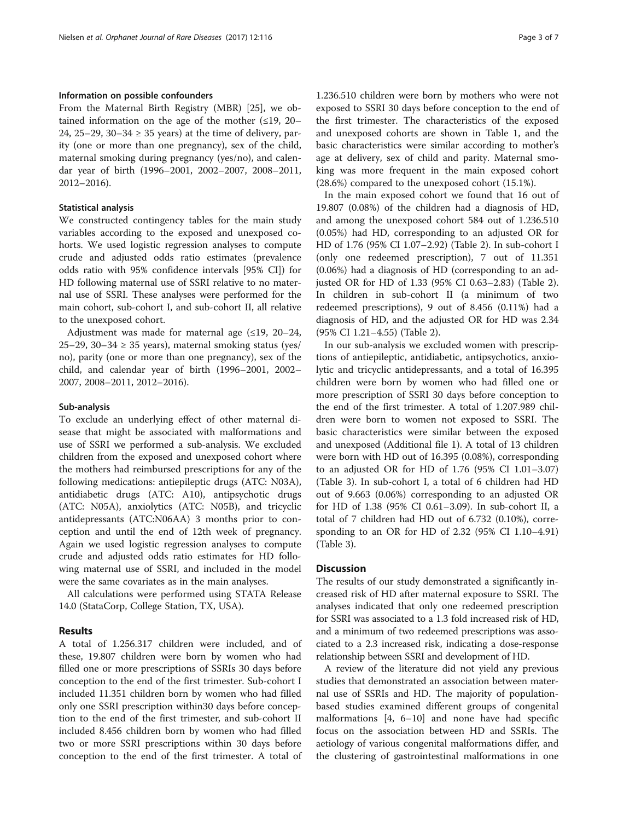#### Information on possible confounders

From the Maternal Birth Registry (MBR) [[25\]](#page-6-0), we obtained information on the age of the mother  $(\leq 19, 20 -$ 24, 25–29, 30–34  $\geq$  35 years) at the time of delivery, parity (one or more than one pregnancy), sex of the child, maternal smoking during pregnancy (yes/no), and calendar year of birth (1996–2001, 2002–2007, 2008–2011, 2012–2016).

# Statistical analysis

We constructed contingency tables for the main study variables according to the exposed and unexposed cohorts. We used logistic regression analyses to compute crude and adjusted odds ratio estimates (prevalence odds ratio with 95% confidence intervals [95% CI]) for HD following maternal use of SSRI relative to no maternal use of SSRI. These analyses were performed for the main cohort, sub-cohort I, and sub-cohort II, all relative to the unexposed cohort.

Adjustment was made for maternal age  $(≤19, 20−24,$ 25–29, 30–34  $\geq$  35 years), maternal smoking status (yes/ no), parity (one or more than one pregnancy), sex of the child, and calendar year of birth (1996–2001, 2002– 2007, 2008–2011, 2012–2016).

#### Sub-analysis

To exclude an underlying effect of other maternal disease that might be associated with malformations and use of SSRI we performed a sub-analysis. We excluded children from the exposed and unexposed cohort where the mothers had reimbursed prescriptions for any of the following medications: antiepileptic drugs (ATC: N03A), antidiabetic drugs (ATC: A10), antipsychotic drugs (ATC: N05A), anxiolytics (ATC: N05B), and tricyclic antidepressants (ATC:N06AA) 3 months prior to conception and until the end of 12th week of pregnancy. Again we used logistic regression analyses to compute crude and adjusted odds ratio estimates for HD following maternal use of SSRI, and included in the model were the same covariates as in the main analyses.

All calculations were performed using STATA Release 14.0 (StataCorp, College Station, TX, USA).

#### Results

A total of 1.256.317 children were included, and of these, 19.807 children were born by women who had filled one or more prescriptions of SSRIs 30 days before conception to the end of the first trimester. Sub-cohort I included 11.351 children born by women who had filled only one SSRI prescription within30 days before conception to the end of the first trimester, and sub-cohort II included 8.456 children born by women who had filled two or more SSRI prescriptions within 30 days before conception to the end of the first trimester. A total of 1.236.510 children were born by mothers who were not exposed to SSRI 30 days before conception to the end of the first trimester. The characteristics of the exposed and unexposed cohorts are shown in Table [1,](#page-3-0) and the basic characteristics were similar according to mother's age at delivery, sex of child and parity. Maternal smoking was more frequent in the main exposed cohort (28.6%) compared to the unexposed cohort (15.1%).

In the main exposed cohort we found that 16 out of 19.807 (0.08%) of the children had a diagnosis of HD, and among the unexposed cohort 584 out of 1.236.510 (0.05%) had HD, corresponding to an adjusted OR for HD of 1.76 (95% CI 1.07–2.92) (Table [2\)](#page-3-0). In sub-cohort I (only one redeemed prescription), 7 out of 11.351 (0.06%) had a diagnosis of HD (corresponding to an adjusted OR for HD of 1.33 (95% CI 0.63–2.83) (Table [2](#page-3-0)). In children in sub-cohort II (a minimum of two redeemed prescriptions), 9 out of 8.456 (0.11%) had a diagnosis of HD, and the adjusted OR for HD was 2.34 (95% CI 1.21–4.55) (Table [2](#page-3-0)).

In our sub-analysis we excluded women with prescriptions of antiepileptic, antidiabetic, antipsychotics, anxiolytic and tricyclic antidepressants, and a total of 16.395 children were born by women who had filled one or more prescription of SSRI 30 days before conception to the end of the first trimester. A total of 1.207.989 children were born to women not exposed to SSRI. The basic characteristics were similar between the exposed and unexposed (Additional file [1](#page-5-0)). A total of 13 children were born with HD out of 16.395 (0.08%), corresponding to an adjusted OR for HD of 1.76 (95% CI 1.01–3.07) (Table [3\)](#page-4-0). In sub-cohort I, a total of 6 children had HD out of 9.663 (0.06%) corresponding to an adjusted OR for HD of 1.38 (95% CI 0.61–3.09). In sub-cohort II, a total of 7 children had HD out of 6.732 (0.10%), corresponding to an OR for HD of 2.32 (95% CI 1.10–4.91) (Table [3\)](#page-4-0).

### **Discussion**

The results of our study demonstrated a significantly increased risk of HD after maternal exposure to SSRI. The analyses indicated that only one redeemed prescription for SSRI was associated to a 1.3 fold increased risk of HD, and a minimum of two redeemed prescriptions was associated to a 2.3 increased risk, indicating a dose-response relationship between SSRI and development of HD.

A review of the literature did not yield any previous studies that demonstrated an association between maternal use of SSRIs and HD. The majority of populationbased studies examined different groups of congenital malformations [\[4](#page-5-0), [6](#page-5-0)–[10\]](#page-6-0) and none have had specific focus on the association between HD and SSRIs. The aetiology of various congenital malformations differ, and the clustering of gastrointestinal malformations in one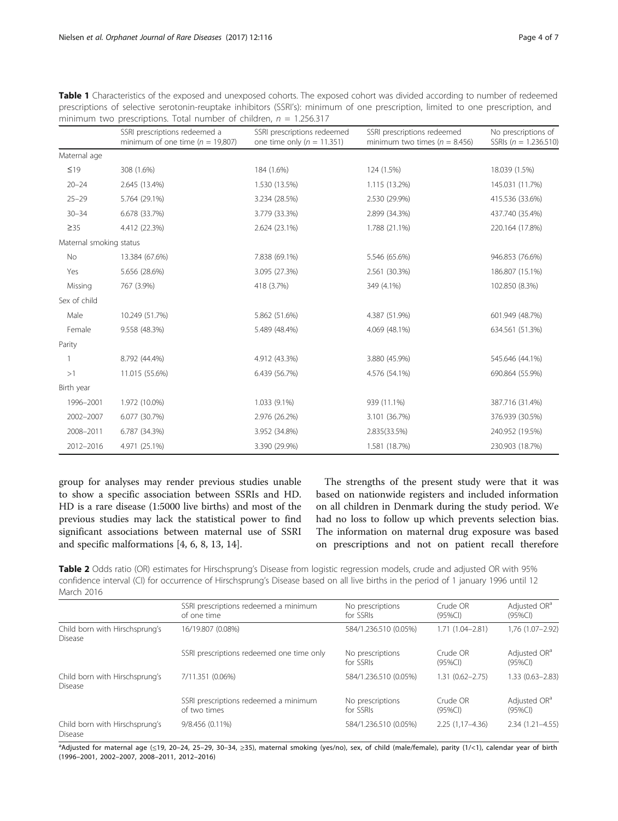<span id="page-3-0"></span>Table 1 Characteristics of the exposed and unexposed cohorts. The exposed cohort was divided according to number of redeemed prescriptions of selective serotonin-reuptake inhibitors (SSRI's): minimum of one prescription, limited to one prescription, and minimum two prescriptions. Total number of children,  $n = 1.256.317$ 

|                         | SSRI prescriptions redeemed a<br>minimum of one time ( $n = 19,807$ ) | SSRI prescriptions redeemed<br>one time only ( $n = 11.351$ ) | SSRI prescriptions redeemed<br>minimum two times ( $n = 8.456$ ) | No prescriptions of<br>SSRIs ( $n = 1.236.510$ ) |
|-------------------------|-----------------------------------------------------------------------|---------------------------------------------------------------|------------------------------------------------------------------|--------------------------------------------------|
| Maternal age            |                                                                       |                                                               |                                                                  |                                                  |
| $\leq 19$               | 308 (1.6%)                                                            | 184 (1.6%)                                                    | 124 (1.5%)                                                       | 18.039 (1.5%)                                    |
| $20 - 24$               | 2.645 (13.4%)                                                         | 1.530 (13.5%)                                                 | 1.115 (13.2%)                                                    | 145.031 (11.7%)                                  |
| $25 - 29$               | 5.764 (29.1%)                                                         | 3.234 (28.5%)                                                 | 2.530 (29.9%)                                                    | 415.536 (33.6%)                                  |
| $30 - 34$               | 6.678 (33.7%)                                                         | 3.779 (33.3%)                                                 | 2.899 (34.3%)                                                    | 437.740 (35.4%)                                  |
| $\geq$ 35               | 4.412 (22.3%)                                                         | 2.624 (23.1%)                                                 | 1.788 (21.1%)                                                    | 220.164 (17.8%)                                  |
| Maternal smoking status |                                                                       |                                                               |                                                                  |                                                  |
| <b>No</b>               | 13.384 (67.6%)                                                        | 7.838 (69.1%)                                                 | 5.546 (65.6%)                                                    | 946.853 (76.6%)                                  |
| Yes                     | 5.656 (28.6%)                                                         | 3.095 (27.3%)                                                 | 2.561 (30.3%)                                                    | 186.807 (15.1%)                                  |
| Missing                 | 767 (3.9%)                                                            | 418 (3.7%)                                                    | 349 (4.1%)                                                       | 102.850 (8.3%)                                   |
| Sex of child            |                                                                       |                                                               |                                                                  |                                                  |
| Male                    | 10.249 (51.7%)                                                        | 5.862 (51.6%)                                                 | 4.387 (51.9%)                                                    | 601.949 (48.7%)                                  |
| Female                  | 9.558 (48.3%)                                                         | 5.489 (48.4%)                                                 | 4.069 (48.1%)                                                    | 634.561 (51.3%)                                  |
| Parity                  |                                                                       |                                                               |                                                                  |                                                  |
|                         | 8.792 (44.4%)                                                         | 4.912 (43.3%)                                                 | 3.880 (45.9%)                                                    | 545.646 (44.1%)                                  |
| >1                      | 11.015 (55.6%)                                                        | 6.439 (56.7%)                                                 | 4.576 (54.1%)                                                    | 690.864 (55.9%)                                  |
| Birth year              |                                                                       |                                                               |                                                                  |                                                  |
| 1996-2001               | 1.972 (10.0%)                                                         | 1.033 (9.1%)                                                  | 939 (11.1%)                                                      | 387.716 (31.4%)                                  |
| 2002-2007               | 6.077 (30.7%)                                                         | 2.976 (26.2%)                                                 | 3.101 (36.7%)                                                    | 376.939 (30.5%)                                  |
| 2008-2011               | 6.787 (34.3%)                                                         | 3.952 (34.8%)                                                 | 2.835(33.5%)                                                     | 240.952 (19.5%)                                  |
| 2012-2016               | 4.971 (25.1%)                                                         | 3.390 (29.9%)                                                 | 1.581 (18.7%)                                                    | 230.903 (18.7%)                                  |

group for analyses may render previous studies unable to show a specific association between SSRIs and HD. HD is a rare disease (1:5000 live births) and most of the previous studies may lack the statistical power to find significant associations between maternal use of SSRI and specific malformations [\[4](#page-5-0), [6](#page-5-0), [8](#page-5-0), [13](#page-6-0), [14](#page-6-0)].

The strengths of the present study were that it was based on nationwide registers and included information on all children in Denmark during the study period. We had no loss to follow up which prevents selection bias. The information on maternal drug exposure was based on prescriptions and not on patient recall therefore

Table 2 Odds ratio (OR) estimates for Hirschsprung's Disease from logistic regression models, crude and adjusted OR with 95% confidence interval (CI) for occurrence of Hirschsprung's Disease based on all live births in the period of 1 january 1996 until 12 March 2016

|                                                  | SSRI prescriptions redeemed a minimum<br>of one time  | No prescriptions<br>for SSRIs | Crude OR<br>$(95\%CI)$ | Adjusted OR <sup>a</sup><br>(95%Cl)    |
|--------------------------------------------------|-------------------------------------------------------|-------------------------------|------------------------|----------------------------------------|
|                                                  |                                                       |                               |                        |                                        |
| Child born with Hirschsprung's<br><b>Disease</b> | 16/19.807 (0.08%)                                     | 584/1.236.510 (0.05%)         | $1.71(1.04 - 2.81)$    | 1.76 (1.07-2.92)                       |
|                                                  | SSRI prescriptions redeemed one time only             | No prescriptions<br>for SSRIs | Crude OR<br>$(95\%CI)$ | Adjusted OR <sup>a</sup><br>(95%Cl)    |
| Child born with Hirschsprung's<br><b>Disease</b> | 7/11.351 (0.06%)                                      | 584/1.236.510 (0.05%)         | $1.31(0.62 - 2.75)$    | $1.33(0.63 - 2.83)$                    |
|                                                  | SSRI prescriptions redeemed a minimum<br>of two times | No prescriptions<br>for SSRIs | Crude OR<br>$(95\%CI)$ | Adjusted OR <sup>a</sup><br>$(95\%CI)$ |
| Child born with Hirschsprung's<br><b>Disease</b> | 9/8.456 (0.11%)                                       | 584/1.236.510 (0.05%)         | $2.25(1.17 - 4.36)$    | $2.34(1.21 - 4.55)$                    |

a Adjusted for maternal age (≤19, 20–24, 25–29, 30–34, ≥35), maternal smoking (yes/no), sex, of child (male/female), parity (1/<1), calendar year of birth (1996–2001, 2002–2007, 2008–2011, 2012–2016)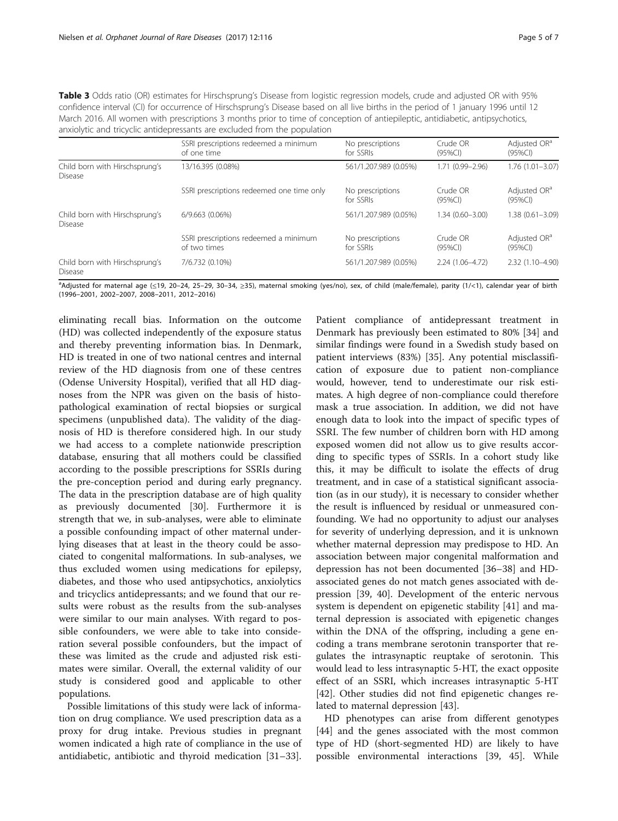<span id="page-4-0"></span>

| Table 3 Odds ratio (OR) estimates for Hirschsprung's Disease from logistic regression models, crude and adjusted OR with 95%        |
|-------------------------------------------------------------------------------------------------------------------------------------|
| confidence interval (CI) for occurrence of Hirschsprung's Disease based on all live births in the period of 1 january 1996 until 12 |
| March 2016. All women with prescriptions 3 months prior to time of conception of antiepileptic, antidiabetic, antipsychotics,       |
| anxiolytic and tricyclic antidepressants are excluded from the population                                                           |

|                                                  | SSRI prescriptions redeemed a minimum<br>of one time  | No prescriptions<br>for SSRIs | Crude OR<br>$(95\%CI)$ | Adjusted OR <sup>a</sup><br>$(95\%CI)$ |
|--------------------------------------------------|-------------------------------------------------------|-------------------------------|------------------------|----------------------------------------|
| Child born with Hirschsprung's<br><b>Disease</b> | 13/16.395 (0.08%)                                     | 561/1.207.989 (0.05%)         | 1.71 (0.99-2.96)       | $1.76(1.01 - 3.07)$                    |
|                                                  | SSRI prescriptions redeemed one time only             | No prescriptions<br>for SSRIs | Crude OR<br>$(95\%CI)$ | Adjusted OR <sup>a</sup><br>(95%Cl)    |
| Child born with Hirschsprung's<br><b>Disease</b> | $6/9.663$ $(0.06\%)$                                  | 561/1.207.989 (0.05%)         | $1.34(0.60 - 3.00)$    | $1.38(0.61 - 3.09)$                    |
|                                                  | SSRI prescriptions redeemed a minimum<br>of two times | No prescriptions<br>for SSRIs | Crude OR<br>(95%Cl)    | Adjusted OR <sup>a</sup><br>(95%Cl)    |
| Child born with Hirschsprung's<br><b>Disease</b> | 7/6.732 (0.10%)                                       | 561/1.207.989 (0.05%)         | 2.24 (1.06-4.72)       | 2.32 (1.10-4.90)                       |

a Adjusted for maternal age (≤19, 20–24, 25–29, 30–34, ≥35), maternal smoking (yes/no), sex, of child (male/female), parity (1/<1), calendar year of birth (1996–2001, 2002–2007, 2008–2011, 2012–2016)

eliminating recall bias. Information on the outcome (HD) was collected independently of the exposure status and thereby preventing information bias. In Denmark, HD is treated in one of two national centres and internal review of the HD diagnosis from one of these centres (Odense University Hospital), verified that all HD diagnoses from the NPR was given on the basis of histopathological examination of rectal biopsies or surgical specimens (unpublished data). The validity of the diagnosis of HD is therefore considered high. In our study we had access to a complete nationwide prescription database, ensuring that all mothers could be classified according to the possible prescriptions for SSRIs during the pre-conception period and during early pregnancy. The data in the prescription database are of high quality as previously documented [[30\]](#page-6-0). Furthermore it is strength that we, in sub-analyses, were able to eliminate a possible confounding impact of other maternal underlying diseases that at least in the theory could be associated to congenital malformations. In sub-analyses, we thus excluded women using medications for epilepsy, diabetes, and those who used antipsychotics, anxiolytics and tricyclics antidepressants; and we found that our results were robust as the results from the sub-analyses were similar to our main analyses. With regard to possible confounders, we were able to take into consideration several possible confounders, but the impact of these was limited as the crude and adjusted risk estimates were similar. Overall, the external validity of our study is considered good and applicable to other populations.

Possible limitations of this study were lack of information on drug compliance. We used prescription data as a proxy for drug intake. Previous studies in pregnant women indicated a high rate of compliance in the use of antidiabetic, antibiotic and thyroid medication [[31](#page-6-0)–[33](#page-6-0)].

Patient compliance of antidepressant treatment in Denmark has previously been estimated to 80% [\[34](#page-6-0)] and similar findings were found in a Swedish study based on patient interviews (83%) [\[35](#page-6-0)]. Any potential misclassification of exposure due to patient non-compliance would, however, tend to underestimate our risk estimates. A high degree of non-compliance could therefore mask a true association. In addition, we did not have enough data to look into the impact of specific types of SSRI. The few number of children born with HD among exposed women did not allow us to give results according to specific types of SSRIs. In a cohort study like this, it may be difficult to isolate the effects of drug treatment, and in case of a statistical significant association (as in our study), it is necessary to consider whether the result is influenced by residual or unmeasured confounding. We had no opportunity to adjust our analyses for severity of underlying depression, and it is unknown whether maternal depression may predispose to HD. An association between major congenital malformation and depression has not been documented [[36](#page-6-0)–[38](#page-6-0)] and HDassociated genes do not match genes associated with depression [[39](#page-6-0), [40](#page-6-0)]. Development of the enteric nervous system is dependent on epigenetic stability [[41\]](#page-6-0) and maternal depression is associated with epigenetic changes within the DNA of the offspring, including a gene encoding a trans membrane serotonin transporter that regulates the intrasynaptic reuptake of serotonin. This would lead to less intrasynaptic 5-HT, the exact opposite effect of an SSRI, which increases intrasynaptic 5-HT [[42\]](#page-6-0). Other studies did not find epigenetic changes related to maternal depression [\[43](#page-6-0)].

HD phenotypes can arise from different genotypes [[44\]](#page-6-0) and the genes associated with the most common type of HD (short-segmented HD) are likely to have possible environmental interactions [\[39, 45\]](#page-6-0). While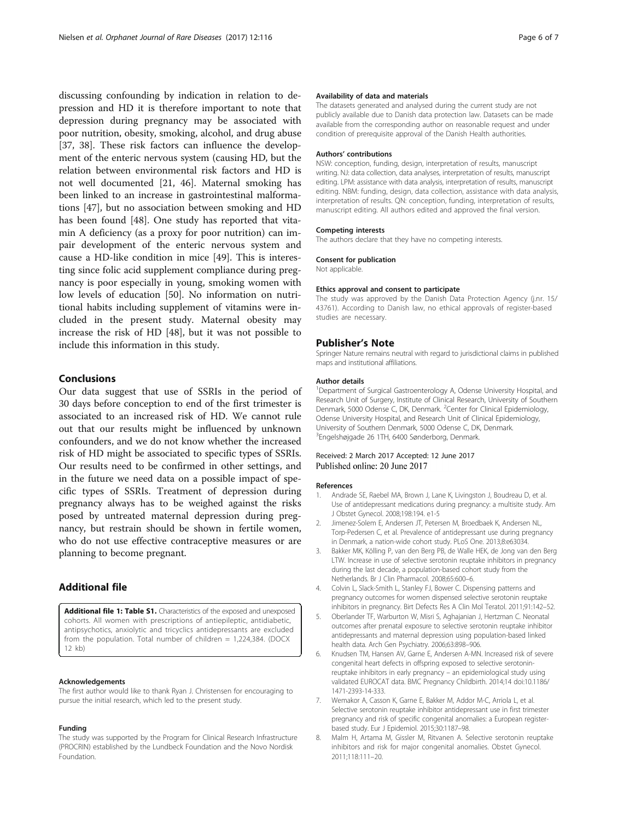<span id="page-5-0"></span>discussing confounding by indication in relation to depression and HD it is therefore important to note that depression during pregnancy may be associated with poor nutrition, obesity, smoking, alcohol, and drug abuse [[37, 38](#page-6-0)]. These risk factors can influence the development of the enteric nervous system (causing HD, but the relation between environmental risk factors and HD is not well documented [[21, 46\]](#page-6-0). Maternal smoking has been linked to an increase in gastrointestinal malformations [\[47](#page-6-0)], but no association between smoking and HD has been found [[48\]](#page-6-0). One study has reported that vitamin A deficiency (as a proxy for poor nutrition) can impair development of the enteric nervous system and cause a HD-like condition in mice [[49](#page-6-0)]. This is interesting since folic acid supplement compliance during pregnancy is poor especially in young, smoking women with low levels of education [\[50](#page-6-0)]. No information on nutritional habits including supplement of vitamins were included in the present study. Maternal obesity may increase the risk of HD [\[48\]](#page-6-0), but it was not possible to include this information in this study.

# Conclusions

Our data suggest that use of SSRIs in the period of 30 days before conception to end of the first trimester is associated to an increased risk of HD. We cannot rule out that our results might be influenced by unknown confounders, and we do not know whether the increased risk of HD might be associated to specific types of SSRIs. Our results need to be confirmed in other settings, and in the future we need data on a possible impact of specific types of SSRIs. Treatment of depression during pregnancy always has to be weighed against the risks posed by untreated maternal depression during pregnancy, but restrain should be shown in fertile women, who do not use effective contraceptive measures or are planning to become pregnant.

# Additional file

[Additional file 1: Table S1.](dx.doi.org/10.1186/s13023-017-0667-4) Characteristics of the exposed and unexposed cohorts. All women with prescriptions of antiepileptic, antidiabetic, antipsychotics, anxiolytic and tricyclics antidepressants are excluded from the population. Total number of children = 1,224,384. (DOCX 12 kb)

#### Acknowledgements

The first author would like to thank Ryan J. Christensen for encouraging to pursue the initial research, which led to the present study.

#### Funding

The study was supported by the Program for Clinical Research Infrastructure (PROCRIN) established by the Lundbeck Foundation and the Novo Nordisk Foundation.

#### Availability of data and materials

The datasets generated and analysed during the current study are not publicly available due to Danish data protection law. Datasets can be made available from the corresponding author on reasonable request and under condition of prerequisite approval of the Danish Health authorities.

#### Authors' contributions

NSW: conception, funding, design, interpretation of results, manuscript writing. NJ: data collection, data analyses, interpretation of results, manuscript editing. LPM: assistance with data analysis, interpretation of results, manuscript editing. NBM: funding, design, data collection, assistance with data analysis, interpretation of results. QN: conception, funding, interpretation of results, manuscript editing. All authors edited and approved the final version.

#### Competing interests

The authors declare that they have no competing interests.

#### Consent for publication

Not applicable.

#### Ethics approval and consent to participate

The study was approved by the Danish Data Protection Agency (j.nr. 15/ 43761). According to Danish law, no ethical approvals of register-based studies are necessary.

#### Publisher's Note

Springer Nature remains neutral with regard to jurisdictional claims in published maps and institutional affiliations.

#### Author details

<sup>1</sup>Department of Surgical Gastroenterology A, Odense University Hospital, and Research Unit of Surgery, Institute of Clinical Research, University of Southern Denmark, 5000 Odense C, DK, Denmark. <sup>2</sup>Center for Clinical Epidemiology, Odense University Hospital, and Research Unit of Clinical Epidemiology, University of Southern Denmark, 5000 Odense C, DK, Denmark. 3 Engelshøjgade 26 1TH, 6400 Sønderborg, Denmark.

#### Received: 2 March 2017 Accepted: 12 June 2017 Published online: 20 June 2017

#### References

- 1. Andrade SE, Raebel MA, Brown J, Lane K, Livingston J, Boudreau D, et al. Use of antidepressant medications during pregnancy: a multisite study. Am J Obstet Gynecol. 2008;198:194. e1-5
- 2. Jimenez-Solem E, Andersen JT, Petersen M, Broedbaek K, Andersen NL, Torp-Pedersen C, et al. Prevalence of antidepressant use during pregnancy in Denmark, a nation-wide cohort study. PLoS One. 2013;8:e63034.
- 3. Bakker MK, Kölling P, van den Berg PB, de Walle HEK, de Jong van den Berg LTW. Increase in use of selective serotonin reuptake inhibitors in pregnancy during the last decade, a population-based cohort study from the Netherlands. Br J Clin Pharmacol. 2008;65:600–6.
- 4. Colvin L, Slack-Smith L, Stanley FJ, Bower C. Dispensing patterns and pregnancy outcomes for women dispensed selective serotonin reuptake inhibitors in pregnancy. Birt Defects Res A Clin Mol Teratol. 2011;91:142–52.
- 5. Oberlander TF, Warburton W, Misri S, Aghajanian J, Hertzman C. Neonatal outcomes after prenatal exposure to selective serotonin reuptake inhibitor antidepressants and maternal depression using population-based linked health data. Arch Gen Psychiatry. 2006;63:898–906.
- 6. Knudsen TM, Hansen AV, Garne E, Andersen A-MN. Increased risk of severe congenital heart defects in offspring exposed to selective serotoninreuptake inhibitors in early pregnancy – an epidemiological study using validated EUROCAT data. BMC Pregnancy Childbirth. 2014;14 doi:[10.1186/](http://dx.doi.org/10.1186/1471-2393-14-333) [1471-2393-14-333](http://dx.doi.org/10.1186/1471-2393-14-333).
- 7. Wemakor A, Casson K, Garne E, Bakker M, Addor M-C, Arriola L, et al. Selective serotonin reuptake inhibitor antidepressant use in first trimester pregnancy and risk of specific congenital anomalies: a European registerbased study. Eur J Epidemiol. 2015;30:1187–98.
- 8. Malm H, Artama M, Gissler M, Ritvanen A. Selective serotonin reuptake inhibitors and risk for major congenital anomalies. Obstet Gynecol. 2011;118:111–20.